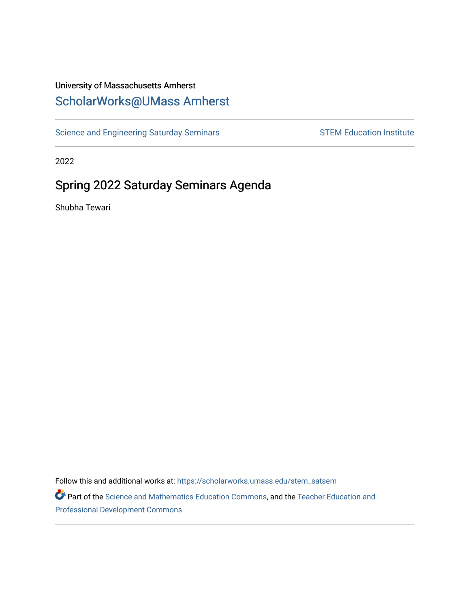# University of Massachusetts Amherst [ScholarWorks@UMass Amherst](https://scholarworks.umass.edu/)

[Science and Engineering Saturday Seminars](https://scholarworks.umass.edu/stem_satsem) STEM Education Institute

2022

# Spring 2022 Saturday Seminars Agenda

Shubha Tewari

Follow this and additional works at: [https://scholarworks.umass.edu/stem\\_satsem](https://scholarworks.umass.edu/stem_satsem?utm_source=scholarworks.umass.edu%2Fstem_satsem%2F53&utm_medium=PDF&utm_campaign=PDFCoverPages)  Part of the [Science and Mathematics Education Commons,](http://network.bepress.com/hgg/discipline/800?utm_source=scholarworks.umass.edu%2Fstem_satsem%2F53&utm_medium=PDF&utm_campaign=PDFCoverPages) and the [Teacher Education and](http://network.bepress.com/hgg/discipline/803?utm_source=scholarworks.umass.edu%2Fstem_satsem%2F53&utm_medium=PDF&utm_campaign=PDFCoverPages)

[Professional Development Commons](http://network.bepress.com/hgg/discipline/803?utm_source=scholarworks.umass.edu%2Fstem_satsem%2F53&utm_medium=PDF&utm_campaign=PDFCoverPages)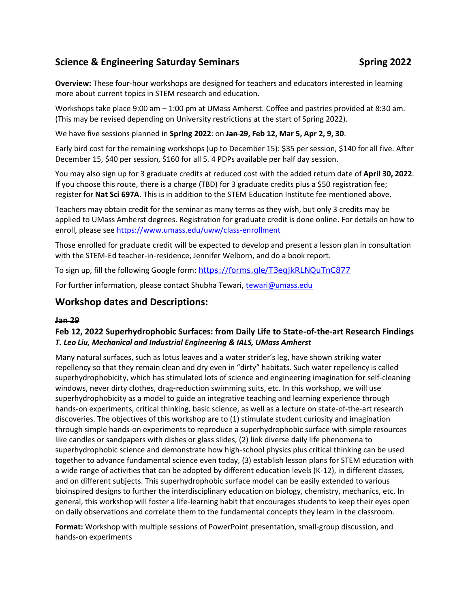# **Science & Engineering Saturday Seminars Spring 2022 Spring 2022**

**Overview:** These four-hour workshops are designed for teachers and educators interested in learning more about current topics in STEM research and education.

Workshops take place 9:00 am – 1:00 pm at UMass Amherst. Coffee and pastries provided at 8:30 am. (This may be revised depending on University restrictions at the start of Spring 2022).

We have five sessions planned in **Spring 2022**: on **Jan 29, Feb 12, Mar 5, Apr 2, 9, 30**.

Early bird cost for the remaining workshops (up to December 15): \$35 per session, \$140 for all five. After December 15, \$40 per session, \$160 for all 5. 4 PDPs available per half day session.

You may also sign up for 3 graduate credits at reduced cost with the added return date of **April 30, 2022**. If you choose this route, there is a charge (TBD) for 3 graduate credits plus a \$50 registration fee; register for **Nat Sci 697A**. This is in addition to the STEM Education Institute fee mentioned above.

Teachers may obtain credit for the seminar as many terms as they wish, but only 3 credits may be applied to UMass Amherst degrees. Registration for graduate credit is done online. For details on how to enroll, please see<https://www.umass.edu/uww/class-enrollment>

Those enrolled for graduate credit will be expected to develop and present a lesson plan in consultation with the STEM-Ed teacher-in-residence, Jennifer Welborn, and do a book report.

To sign up, fill the following Google form: <https://forms.gle/T3egjkRLNQuTnC877>

For further information, please contact Shubha Tewari, [tewari@umass.edu](mailto:tewari@umass.edu)

### **Workshop dates and Descriptions:**

#### **Jan 29**

#### **Feb 12, 2022 Superhydrophobic Surfaces: from Daily Life to State-of-the-art Research Findings** *T. Leo Liu, Mechanical and Industrial Engineering & IALS, UMass Amherst*

Many natural surfaces, such as lotus leaves and a water strider's leg, have shown striking water repellency so that they remain clean and dry even in "dirty" habitats. Such water repellency is called superhydrophobicity, which has stimulated lots of science and engineering imagination for self-cleaning windows, never dirty clothes, drag-reduction swimming suits, etc. In this workshop, we will use superhydrophobicity as a model to guide an integrative teaching and learning experience through hands-on experiments, critical thinking, basic science, as well as a lecture on state-of-the-art research discoveries. The objectives of this workshop are to (1) stimulate student curiosity and imagination through simple hands-on experiments to reproduce a superhydrophobic surface with simple resources like candles or sandpapers with dishes or glass slides, (2) link diverse daily life phenomena to superhydrophobic science and demonstrate how high-school physics plus critical thinking can be used together to advance fundamental science even today, (3) establish lesson plans for STEM education with a wide range of activities that can be adopted by different education levels (K-12), in different classes, and on different subjects. This superhydrophobic surface model can be easily extended to various bioinspired designs to further the interdisciplinary education on biology, chemistry, mechanics, etc. In general, this workshop will foster a life-learning habit that encourages students to keep their eyes open on daily observations and correlate them to the fundamental concepts they learn in the classroom.

**Format:** Workshop with multiple sessions of PowerPoint presentation, small-group discussion, and hands-on experiments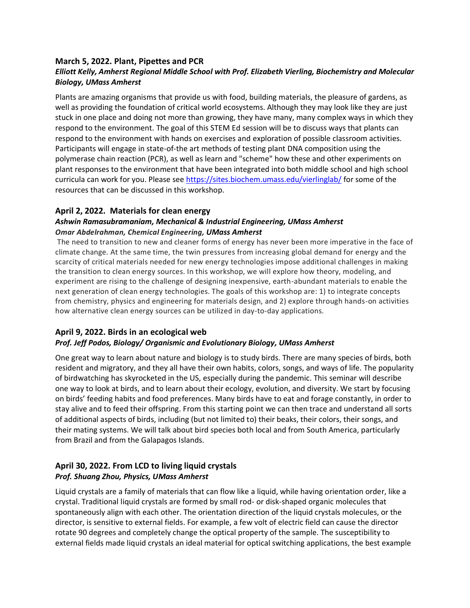### **March 5, 2022. Plant, Pipettes and PCR**

#### *Elliott Kelly, Amherst Regional Middle School with Prof. Elizabeth Vierling, Biochemistry and Molecular Biology, UMass Amherst*

Plants are amazing organisms that provide us with food, building materials, the pleasure of gardens, as well as providing the foundation of critical world ecosystems. Although they may look like they are just stuck in one place and doing not more than growing, they have many, many complex ways in which they respond to the environment. The goal of this STEM Ed session will be to discuss ways that plants can respond to the environment with hands on exercises and exploration of possible classroom activities. Participants will engage in state-of-the art methods of testing plant DNA composition using the polymerase chain reaction (PCR), as well as learn and "scheme" how these and other experiments on plant responses to the environment that have been integrated into both middle school and high school curricula can work for you. Please see <https://sites.biochem.umass.edu/vierlinglab/> for some of the resources that can be discussed in this workshop.

#### **April 2, 2022. Materials for clean energy**

#### *Ashwin Ramasubramaniam, Mechanical & Industrial Engineering, UMass Amherst Omar Abdelrahman, Chemical Engineering, UMass Amherst*

The need to transition to new and cleaner forms of energy has never been more imperative in the face of climate change. At the same time, the twin pressures from increasing global demand for energy and the scarcity of critical materials needed for new energy technologies impose additional challenges in making the transition to clean energy sources. In this workshop, we will explore how theory, modeling, and experiment are rising to the challenge of designing inexpensive, earth-abundant materials to enable the next generation of clean energy technologies. The goals of this workshop are: 1) to integrate concepts from chemistry, physics and engineering for materials design, and 2) explore through hands-on activities how alternative clean energy sources can be utilized in day-to-day applications.

#### **April 9, 2022. Birds in an ecological web** *Prof. Jeff Podos, Biology/ Organismic and Evolutionary Biology, UMass Amherst*

One great way to learn about nature and biology is to study birds. There are many species of birds, both resident and migratory, and they all have their own habits, colors, songs, and ways of life. The popularity of birdwatching has skyrocketed in the US, especially during the pandemic. This seminar will describe one way to look at birds, and to learn about their ecology, evolution, and diversity. We start by focusing on birds' feeding habits and food preferences. Many birds have to eat and forage constantly, in order to stay alive and to feed their offspring. From this starting point we can then trace and understand all sorts of additional aspects of birds, including (but not limited to) their beaks, their colors, their songs, and their mating systems. We will talk about bird species both local and from South America, particularly from Brazil and from the Galapagos Islands.

## **April 30, 2022. From LCD to living liquid crystals** *Prof. Shuang Zhou, Physics, UMass Amherst*

Liquid crystals are a family of materials that can flow like a liquid, while having orientation order, like a crystal. Traditional liquid crystals are formed by small rod- or disk-shaped organic molecules that spontaneously align with each other. The orientation direction of the liquid crystals molecules, or the director, is sensitive to external fields. For example, a few volt of electric field can cause the director rotate 90 degrees and completely change the optical property of the sample. The susceptibility to external fields made liquid crystals an ideal material for optical switching applications, the best example